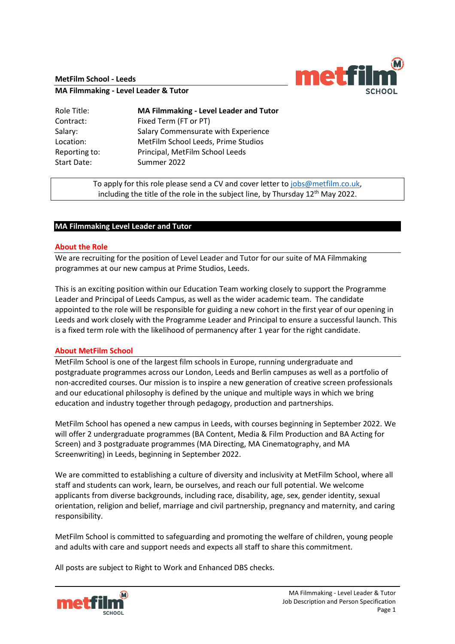**MetFilm School - Leeds**



**MA Filmmaking - Level Leader & Tutor**

| Role Title:   | <b>MA Filmmaking - Level Leader and Tutor</b> |
|---------------|-----------------------------------------------|
| Contract:     | Fixed Term (FT or PT)                         |
| Salary:       | Salary Commensurate with Experience           |
| Location:     | MetFilm School Leeds, Prime Studios           |
| Reporting to: | Principal, MetFilm School Leeds               |
| Start Date:   | Summer 2022                                   |

To apply for this role please send a CV and cover letter to [jobs@metfilm.co.uk,](mailto:jobs@metfilm.co.uk) including the title of the role in the subject line, by Thursday  $12<sup>th</sup>$  May 2022.

# **MA Filmmaking Level Leader and Tutor**

### **About the Role**

We are recruiting for the position of Level Leader and Tutor for our suite of MA Filmmaking programmes at our new campus at Prime Studios, Leeds.

This is an exciting position within our Education Team working closely to support the Programme Leader and Principal of Leeds Campus, as well as the wider academic team. The candidate appointed to the role will be responsible for guiding a new cohort in the first year of our opening in Leeds and work closely with the Programme Leader and Principal to ensure a successful launch. This is a fixed term role with the likelihood of permanency after 1 year for the right candidate.

### **About MetFilm School**

MetFilm School is one of the largest film schools in Europe, running undergraduate and postgraduate programmes across our London, Leeds and Berlin campuses as well as a portfolio of non-accredited courses. Our mission is to inspire a new generation of creative screen professionals and our educational philosophy is defined by the unique and multiple ways in which we bring education and industry together through pedagogy, production and partnerships.

MetFilm School has opened a new campus in Leeds, with courses beginning in September 2022. We will offer 2 undergraduate programmes (BA Content, Media & Film Production and BA Acting for Screen) and 3 postgraduate programmes (MA Directing, MA Cinematography, and MA Screenwriting) in Leeds, beginning in September 2022.

We are committed to establishing a culture of diversity and inclusivity at MetFilm School, where all staff and students can work, learn, be ourselves, and reach our full potential. We welcome applicants from diverse backgrounds, including race, disability, age, sex, gender identity, sexual orientation, religion and belief, marriage and civil partnership, pregnancy and maternity, and caring responsibility.

MetFilm School is committed to safeguarding and promoting the welfare of children, young people and adults with care and support needs and expects all staff to share this commitment.

All posts are subject to Right to Work and Enhanced DBS checks.

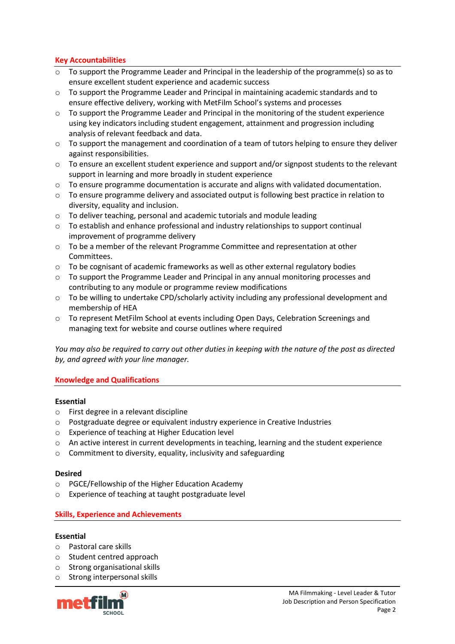## **Key Accountabilities**

- $\circ$  To support the Programme Leader and Principal in the leadership of the programme(s) so as to ensure excellent student experience and academic success
- $\circ$  To support the Programme Leader and Principal in maintaining academic standards and to ensure effective delivery, working with MetFilm School's systems and processes
- o To support the Programme Leader and Principal in the monitoring of the student experience using key indicators including student engagement, attainment and progression including analysis of relevant feedback and data.
- $\circ$  To support the management and coordination of a team of tutors helping to ensure they deliver against responsibilities.
- $\circ$  To ensure an excellent student experience and support and/or signpost students to the relevant support in learning and more broadly in student experience
- o To ensure programme documentation is accurate and aligns with validated documentation.
- o To ensure programme delivery and associated output is following best practice in relation to diversity, equality and inclusion.
- o To deliver teaching, personal and academic tutorials and module leading
- o To establish and enhance professional and industry relationships to support continual improvement of programme delivery
- o To be a member of the relevant Programme Committee and representation at other Committees.
- $\circ$  To be cognisant of academic frameworks as well as other external regulatory bodies
- o To support the Programme Leader and Principal in any annual monitoring processes and contributing to any module or programme review modifications
- $\circ$  To be willing to undertake CPD/scholarly activity including any professional development and membership of HEA
- o To represent MetFilm School at events including Open Days, Celebration Screenings and managing text for website and course outlines where required

*You may also be required to carry out other duties in keeping with the nature of the post as directed by, and agreed with your line manager.* 

### **Knowledge and Qualifications**

### **Essential**

- o First degree in a relevant discipline
- o Postgraduate degree or equivalent industry experience in Creative Industries
- o Experience of teaching at Higher Education level
- o An active interest in current developments in teaching, learning and the student experience
- o Commitment to diversity, equality, inclusivity and safeguarding

### **Desired**

- o PGCE/Fellowship of the Higher Education Academy
- o Experience of teaching at taught postgraduate level

### **Skills, Experience and Achievements**

### **Essential**

- o Pastoral care skills
- o Student centred approach
- o Strong organisational skills
- o Strong interpersonal skills